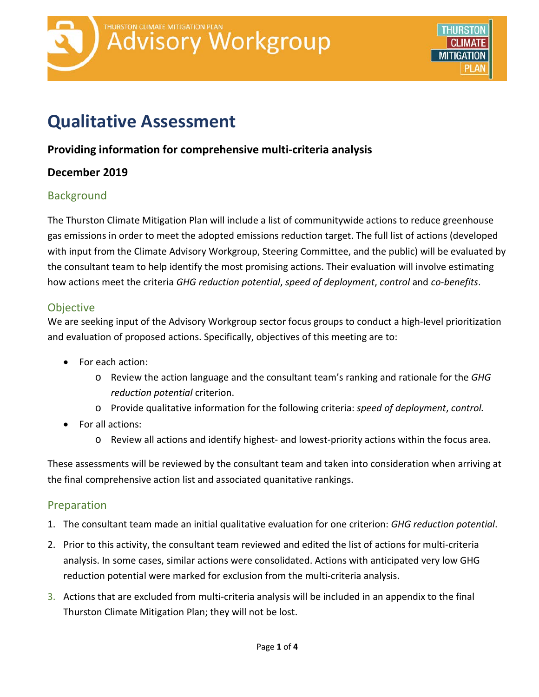

# **Qualitative Assessment**

# **Providing information for comprehensive multi-criteria analysis**

# **December 2019**

# **Background**

The Thurston Climate Mitigation Plan will include a list of communitywide actions to reduce greenhouse gas emissions in order to meet the adopted emissions reduction target. The full list of actions (developed with input from the Climate Advisory Workgroup, Steering Committee, and the public) will be evaluated by the consultant team to help identify the most promising actions. Their evaluation will involve estimating how actions meet the criteria *GHG reduction potential*, *speed of deployment*, *control* and *co-benefits*.

#### **Objective**

We are seeking input of the Advisory Workgroup sector focus groups to conduct a high-level prioritization and evaluation of proposed actions. Specifically, objectives of this meeting are to:

- For each action:
	- o Review the action language and the consultant team's ranking and rationale for the *GHG reduction potential* criterion.
	- o Provide qualitative information for the following criteria: *speed of deployment*, *control.*
- For all actions:
	- o Review all actions and identify highest- and lowest-priority actions within the focus area.

These assessments will be reviewed by the consultant team and taken into consideration when arriving at the final comprehensive action list and associated quanitative rankings.

# Preparation

- 1. The consultant team made an initial qualitative evaluation for one criterion: *GHG reduction potential*.
- 2. Prior to this activity, the consultant team reviewed and edited the list of actions for multi-criteria analysis. In some cases, similar actions were consolidated. Actions with anticipated very low GHG reduction potential were marked for exclusion from the multi-criteria analysis.
- 3. Actions that are excluded from multi-criteria analysis will be included in an appendix to the final Thurston Climate Mitigation Plan; they will not be lost.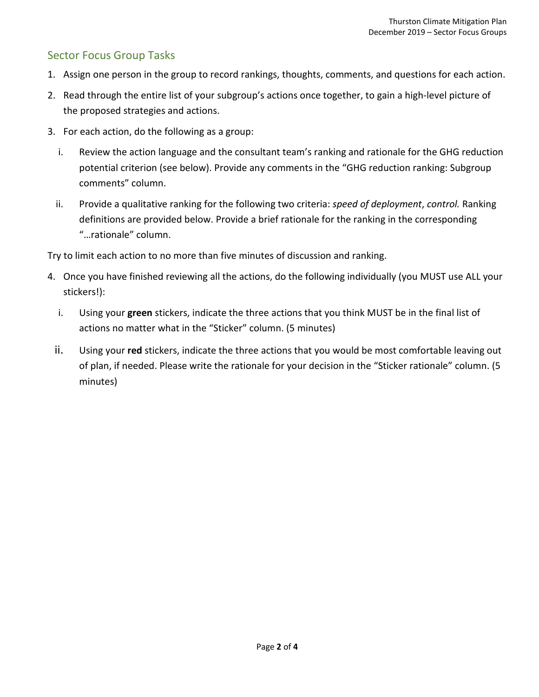# Sector Focus Group Tasks

- 1. Assign one person in the group to record rankings, thoughts, comments, and questions for each action.
- 2. Read through the entire list of your subgroup's actions once together, to gain a high-level picture of the proposed strategies and actions.
- 3. For each action, do the following as a group:
	- i. Review the action language and the consultant team's ranking and rationale for the GHG reduction potential criterion (see below). Provide any comments in the "GHG reduction ranking: Subgroup comments" column.
	- ii. Provide a qualitative ranking for the following two criteria: *speed of deployment*, *control.* Ranking definitions are provided below. Provide a brief rationale for the ranking in the corresponding "…rationale" column.

Try to limit each action to no more than five minutes of discussion and ranking.

- 4. Once you have finished reviewing all the actions, do the following individually (you MUST use ALL your stickers!):
	- i. Using your **green** stickers, indicate the three actions that you think MUST be in the final list of actions no matter what in the "Sticker" column. (5 minutes)
	- ii. Using your **red** stickers, indicate the three actions that you would be most comfortable leaving out of plan, if needed. Please write the rationale for your decision in the "Sticker rationale" column. (5 minutes)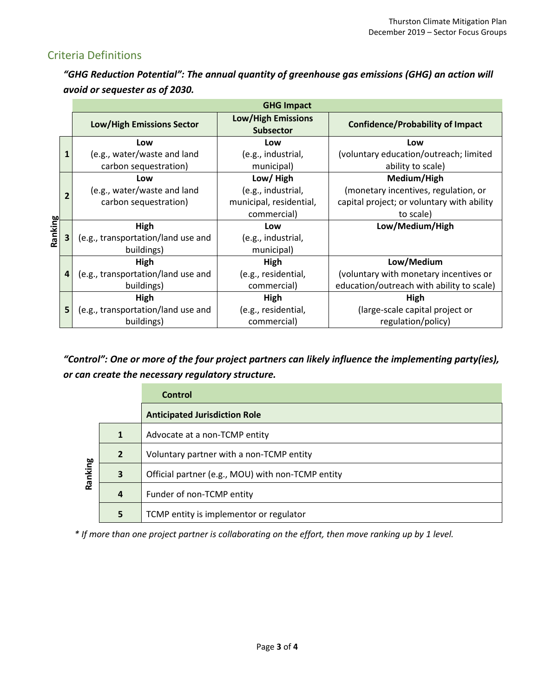# Criteria Definitions

*"GHG Reduction Potential": The annual quantity of greenhouse gas emissions (GHG) an action will avoid or sequester as of 2030.*

|         |                | <b>GHG Impact</b>                  |                                               |                                            |
|---------|----------------|------------------------------------|-----------------------------------------------|--------------------------------------------|
|         |                | <b>Low/High Emissions Sector</b>   | <b>Low/High Emissions</b><br><b>Subsector</b> | <b>Confidence/Probability of Impact</b>    |
| Ranking |                | Low                                | Low                                           | Low                                        |
|         | $\mathbf{1}$   | (e.g., water/waste and land        | (e.g., industrial,                            | (voluntary education/outreach; limited     |
|         |                | carbon sequestration)              | municipal)                                    | ability to scale)                          |
|         |                | Low                                | Low/High                                      | Medium/High                                |
|         | $\overline{2}$ | (e.g., water/waste and land        | (e.g., industrial,                            | (monetary incentives, regulation, or       |
|         |                | carbon sequestration)              | municipal, residential,                       | capital project; or voluntary with ability |
|         |                |                                    | commercial)                                   | to scale)                                  |
|         |                | High                               | Low                                           | Low/Medium/High                            |
|         | 3              | (e.g., transportation/land use and | (e.g., industrial,                            |                                            |
|         |                | buildings)                         | municipal)                                    |                                            |
|         |                | High                               | High                                          | Low/Medium                                 |
|         | 4              | (e.g., transportation/land use and | (e.g., residential,                           | (voluntary with monetary incentives or     |
|         |                | buildings)                         | commercial)                                   | education/outreach with ability to scale)  |
|         |                | High                               | High                                          | High                                       |
|         | 5              | (e.g., transportation/land use and | (e.g., residential,                           | (large-scale capital project or            |
|         |                | buildings)                         | commercial)                                   | regulation/policy)                         |

*"Control": One or more of the four project partners can likely influence the implementing party(ies), or can create the necessary regulatory structure.*

|         |                | Control                                           |
|---------|----------------|---------------------------------------------------|
|         |                | <b>Anticipated Jurisdiction Role</b>              |
| Ranking | $\mathbf{1}$   | Advocate at a non-TCMP entity                     |
|         | $\overline{2}$ | Voluntary partner with a non-TCMP entity          |
|         | 3              | Official partner (e.g., MOU) with non-TCMP entity |
|         | 4              | Funder of non-TCMP entity                         |
|         | 5              | TCMP entity is implementor or regulator           |

*\* If more than one project partner is collaborating on the effort, then move ranking up by 1 level.*